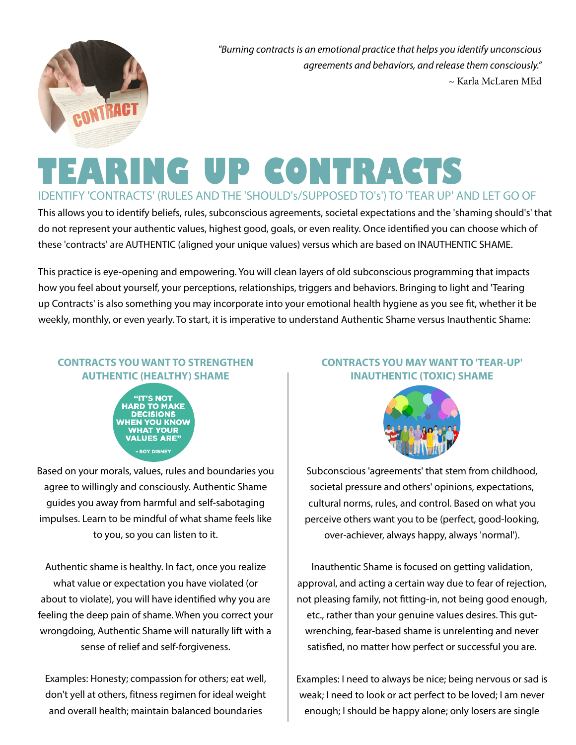

*"Burning contracts is an emotional practice that helps you identify unconscious agreements and behaviors, and release them consciously."* ~ Karla McLaren MEd

# **TEARING UP CONTRACTS**

IDENTIFY 'CONTRACTS' (RULES AND THE 'SHOULD's/SUPPOSED TO's') TO 'TEAR UP' AND LET GO OF

This allows you to identify beliefs, rules, subconscious agreements, societal expectations and the 'shaming should's' that do not represent your authentic values, highest good, goals, or even reality. Once identified you can choose which of these 'contracts' are AUTHENTIC (aligned your unique values) versus which are based on INAUTHENTIC SHAME.

This practice is eye-opening and empowering. You will clean layers of old subconscious programming that impacts how you feel about yourself, your perceptions, relationships, triggers and behaviors. Bringing to light and 'Tearing up Contracts' is also something you may incorporate into your emotional health hygiene as you see fit, whether it be weekly, monthly, or even yearly. To start, it is imperative to understand Authentic Shame versus Inauthentic Shame:

## **CONTRACTS YOU WANT TO STRENGTHEN AUTHENTIC (HEALTHY) SHAME**



Based on your morals, values, rules and boundaries you agree to willingly and consciously. Authentic Shame guides you away from harmful and self-sabotaging impulses. Learn to be mindful of what shame feels like to you, so you can listen to it.

Authentic shame is healthy. In fact, once you realize what value or expectation you have violated (or about to violate), you will have identified why you are feeling the deep pain of shame. When you correct your wrongdoing, Authentic Shame will naturally lift with a sense of relief and self-forgiveness.

Examples: Honesty; compassion for others; eat well, don't yell at others, fitness regimen for ideal weight and overall health; maintain balanced boundaries

## **CONTRACTS YOU MAY WANT TO 'TEAR-UP' INAUTHENTIC (TOXIC) SHAME**



Subconscious 'agreements' that stem from childhood, societal pressure and others' opinions, expectations, cultural norms, rules, and control. Based on what you perceive others want you to be (perfect, good-looking, over-achiever, always happy, always 'normal').

Inauthentic Shame is focused on getting validation, approval, and acting a certain way due to fear of rejection, not pleasing family, not fitting-in, not being good enough, etc., rather than your genuine values desires. This gutwrenching, fear-based shame is unrelenting and never satisfied, no matter how perfect or successful you are.

Examples: I need to always be nice; being nervous or sad is weak; I need to look or act perfect to be loved; I am never enough; I should be happy alone; only losers are single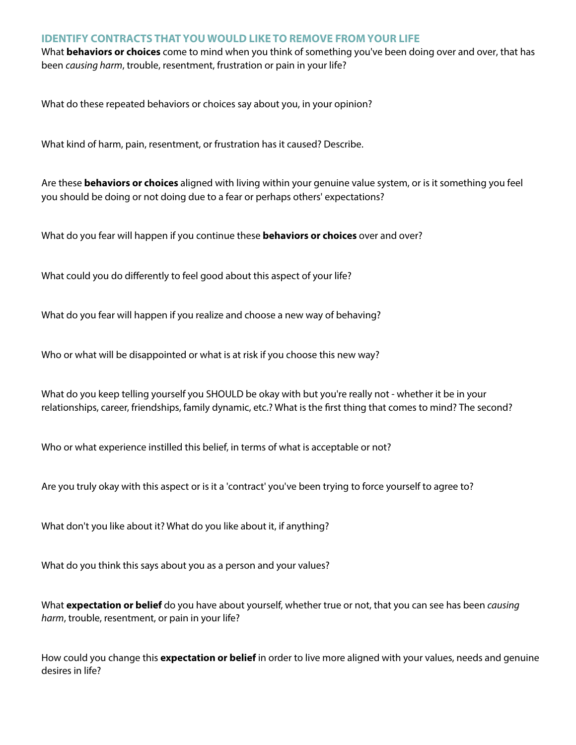#### **IDENTIFY CONTRACTS THAT YOU WOULD LIKE TO REMOVE FROM YOUR LIFE**

What **behaviors or choices** come to mind when you think of something you've been doing over and over, that has been *causing harm*, trouble, resentment, frustration or pain in your life?

What do these repeated behaviors or choices say about you, in your opinion?

What kind of harm, pain, resentment, or frustration has it caused? Describe.

Are these **behaviors or choices** aligned with living within your genuine value system, or is it something you feel you should be doing or not doing due to a fear or perhaps others' expectations?

What do you fear will happen if you continue these **behaviors or choices** over and over?

What could you do differently to feel good about this aspect of your life?

What do you fear will happen if you realize and choose a new way of behaving?

Who or what will be disappointed or what is at risk if you choose this new way?

What do you keep telling yourself you SHOULD be okay with but you're really not - whether it be in your relationships, career, friendships, family dynamic, etc.? What is the first thing that comes to mind? The second?

Who or what experience instilled this belief, in terms of what is acceptable or not?

Are you truly okay with this aspect or is it a 'contract' you've been trying to force yourself to agree to?

What don't you like about it? What do you like about it, if anything?

What do you think this says about you as a person and your values?

What **expectation or belief** do you have about yourself, whether true or not, that you can see has been *causing harm*, trouble, resentment, or pain in your life?

How could you change this **expectation or belief** in order to live more aligned with your values, needs and genuine desires in life?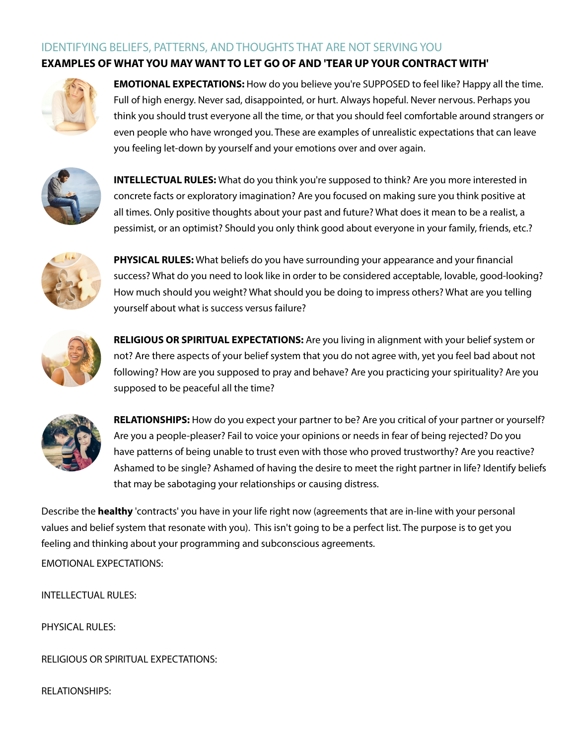#### IDENTIFYING BELIEFS, PATTERNS, AND THOUGHTS THAT ARE NOT SERVING YOU **EXAMPLES OF WHAT YOU MAY WANT TO LET GO OF AND 'TEAR UP YOUR CONTRACT WITH'**



**EMOTIONAL EXPECTATIONS:** How do you believe you're SUPPOSED to feel like? Happy all the time. Full of high energy. Never sad, disappointed, or hurt. Always hopeful. Never nervous. Perhaps you think you should trust everyone all the time, or that you should feel comfortable around strangers or even people who have wronged you. These are examples of unrealistic expectations that can leave you feeling let-down by yourself and your emotions over and over again.



**INTELLECTUAL RULES:** What do you think you're supposed to think? Are you more interested in concrete facts or exploratory imagination? Are you focused on making sure you think positive at all times. Only positive thoughts about your past and future? What does it mean to be a realist, a pessimist, or an optimist? Should you only think good about everyone in your family, friends, etc.?



**PHYSICAL RULES:** What beliefs do you have surrounding your appearance and your financial success? What do you need to look like in order to be considered acceptable, lovable, good-looking? How much should you weight? What should you be doing to impress others? What are you telling yourself about what is success versus failure?



**RELIGIOUS OR SPIRITUAL EXPECTATIONS:** Are you living in alignment with your belief system or not? Are there aspects of your belief system that you do not agree with, yet you feel bad about not following? How are you supposed to pray and behave? Are you practicing your spirituality? Are you supposed to be peaceful all the time?



**RELATIONSHIPS:** How do you expect your partner to be? Are you critical of your partner or yourself? Are you a people-pleaser? Fail to voice your opinions or needs in fear of being rejected? Do you have patterns of being unable to trust even with those who proved trustworthy? Are you reactive? Ashamed to be single? Ashamed of having the desire to meet the right partner in life? Identify beliefs that may be sabotaging your relationships or causing distress.

Describe the **healthy** 'contracts' you have in your life right now (agreements that are in-line with your personal values and belief system that resonate with you). This isn't going to be a perfect list. The purpose is to get you feeling and thinking about your programming and subconscious agreements.

EMOTIONAL EXPECTATIONS:

INTELLECTUAL RULES:

PHYSICAL RULES:

RELIGIOUS OR SPIRITUAL EXPECTATIONS:

RELATIONSHIPS: